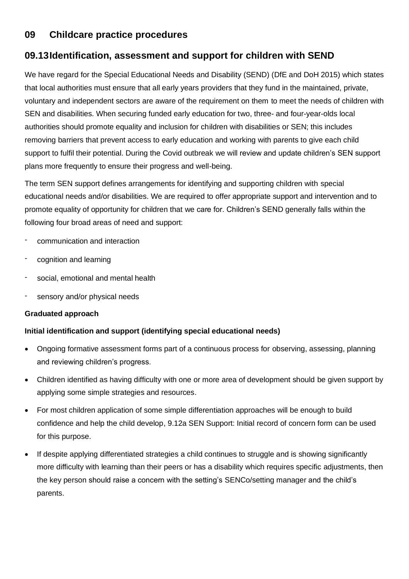# **09 Childcare practice procedures**

# **09.13Identification, assessment and support for children with SEND**

We have regard for the Special Educational Needs and Disability (SEND) (DfE and DoH 2015) which states that local authorities must ensure that all early years providers that they fund in the maintained, private, voluntary and independent sectors are aware of the requirement on them to meet the needs of children with SEN and disabilities. When securing funded early education for two, three- and four-year-olds local authorities should promote equality and inclusion for children with disabilities or SEN; this includes removing barriers that prevent access to early education and working with parents to give each child support to fulfil their potential. During the Covid outbreak we will review and update children's SEN support plans more frequently to ensure their progress and well-being.

The term SEN support defines arrangements for identifying and supporting children with special educational needs and/or disabilities. We are required to offer appropriate support and intervention and to promote equality of opportunity for children that we care for. Children's SEND generally falls within the following four broad areas of need and support:

- communication and interaction
- cognition and learning
- social, emotional and mental health
- sensory and/or physical needs

## **Graduated approach**

## **Initial identification and support (identifying special educational needs)**

- Ongoing formative assessment forms part of a continuous process for observing, assessing, planning and reviewing children's progress.
- Children identified as having difficulty with one or more area of development should be given support by applying some simple strategies and resources.
- For most children application of some simple differentiation approaches will be enough to build confidence and help the child develop, 9.12a SEN Support: Initial record of concern form can be used for this purpose.
- If despite applying differentiated strategies a child continues to struggle and is showing significantly more difficulty with learning than their peers or has a disability which requires specific adjustments, then the key person should raise a concern with the setting's SENCo/setting manager and the child's parents.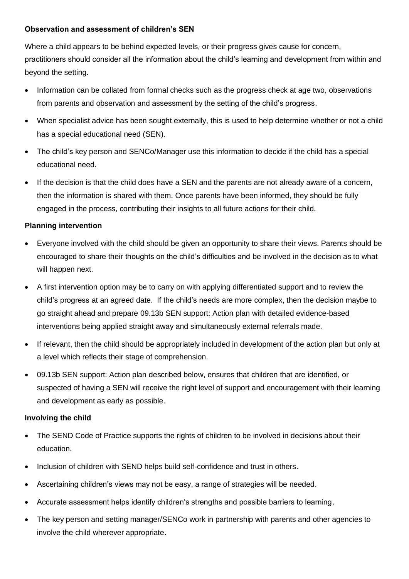## **Observation and assessment of children's SEN**

Where a child appears to be behind expected levels, or their progress gives cause for concern, practitioners should consider all the information about the child's learning and development from within and beyond the setting.

- Information can be collated from formal checks such as the progress check at age two, observations from parents and observation and assessment by the setting of the child's progress.
- When specialist advice has been sought externally, this is used to help determine whether or not a child has a special educational need (SEN).
- The child's key person and SENCo/Manager use this information to decide if the child has a special educational need.
- If the decision is that the child does have a SEN and the parents are not already aware of a concern, then the information is shared with them. Once parents have been informed, they should be fully engaged in the process, contributing their insights to all future actions for their child.

## **Planning intervention**

- Everyone involved with the child should be given an opportunity to share their views. Parents should be encouraged to share their thoughts on the child's difficulties and be involved in the decision as to what will happen next.
- A first intervention option may be to carry on with applying differentiated support and to review the child's progress at an agreed date. If the child's needs are more complex, then the decision maybe to go straight ahead and prepare 09.13b SEN support: Action plan with detailed evidence-based interventions being applied straight away and simultaneously external referrals made.
- If relevant, then the child should be appropriately included in development of the action plan but only at a level which reflects their stage of comprehension.
- 09.13b SEN support: Action plan described below, ensures that children that are identified, or suspected of having a SEN will receive the right level of support and encouragement with their learning and development as early as possible.

#### **Involving the child**

- The SEND Code of Practice supports the rights of children to be involved in decisions about their education.
- Inclusion of children with SEND helps build self-confidence and trust in others.
- Ascertaining children's views may not be easy, a range of strategies will be needed.
- Accurate assessment helps identify children's strengths and possible barriers to learning.
- The key person and setting manager/SENCo work in partnership with parents and other agencies to involve the child wherever appropriate.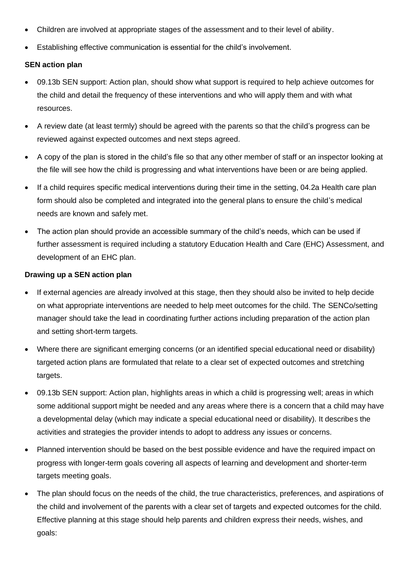- Children are involved at appropriate stages of the assessment and to their level of ability.
- Establishing effective communication is essential for the child's involvement.

## **SEN action plan**

- 09.13b SEN support: Action plan, should show what support is required to help achieve outcomes for the child and detail the frequency of these interventions and who will apply them and with what resources.
- A review date (at least termly) should be agreed with the parents so that the child's progress can be reviewed against expected outcomes and next steps agreed.
- A copy of the plan is stored in the child's file so that any other member of staff or an inspector looking at the file will see how the child is progressing and what interventions have been or are being applied.
- If a child requires specific medical interventions during their time in the setting, 04.2a Health care plan form should also be completed and integrated into the general plans to ensure the child's medical needs are known and safely met.
- The action plan should provide an accessible summary of the child's needs, which can be used if further assessment is required including a statutory Education Health and Care (EHC) Assessment, and development of an EHC plan.

#### **Drawing up a SEN action plan**

- If external agencies are already involved at this stage, then they should also be invited to help decide on what appropriate interventions are needed to help meet outcomes for the child. The SENCo/setting manager should take the lead in coordinating further actions including preparation of the action plan and setting short-term targets.
- Where there are significant emerging concerns (or an identified special educational need or disability) targeted action plans are formulated that relate to a clear set of expected outcomes and stretching targets.
- 09.13b SEN support: Action plan, highlights areas in which a child is progressing well; areas in which some additional support might be needed and any areas where there is a concern that a child may have a developmental delay (which may indicate a special educational need or disability). It describes the activities and strategies the provider intends to adopt to address any issues or concerns.
- Planned intervention should be based on the best possible evidence and have the required impact on progress with longer-term goals covering all aspects of learning and development and shorter-term targets meeting goals.
- The plan should focus on the needs of the child, the true characteristics, preferences, and aspirations of the child and involvement of the parents with a clear set of targets and expected outcomes for the child. Effective planning at this stage should help parents and children express their needs, wishes, and goals: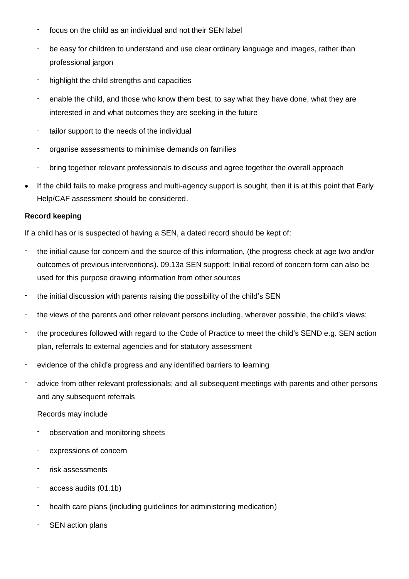- focus on the child as an individual and not their SEN label
- be easy for children to understand and use clear ordinary language and images, rather than professional jargon
- highlight the child strengths and capacities
- enable the child, and those who know them best, to say what they have done, what they are interested in and what outcomes they are seeking in the future
- tailor support to the needs of the individual
- organise assessments to minimise demands on families
- bring together relevant professionals to discuss and agree together the overall approach
- If the child fails to make progress and multi-agency support is sought, then it is at this point that Early Help/CAF assessment should be considered.

## **Record keeping**

If a child has or is suspected of having a SEN, a dated record should be kept of:

- the initial cause for concern and the source of this information, (the progress check at age two and/or outcomes of previous interventions). 09.13a SEN support: Initial record of concern form can also be used for this purpose drawing information from other sources
- the initial discussion with parents raising the possibility of the child's SEN
- the views of the parents and other relevant persons including, wherever possible, the child's views;
- the procedures followed with regard to the Code of Practice to meet the child's SEND e.g. SEN action plan, referrals to external agencies and for statutory assessment
- evidence of the child's progress and any identified barriers to learning
- advice from other relevant professionals; and all subsequent meetings with parents and other persons and any subsequent referrals
	- Records may include
	- observation and monitoring sheets
	- expressions of concern
	- risk assessments
	- access audits (01.1b)
	- health care plans (including guidelines for administering medication)
	- SEN action plans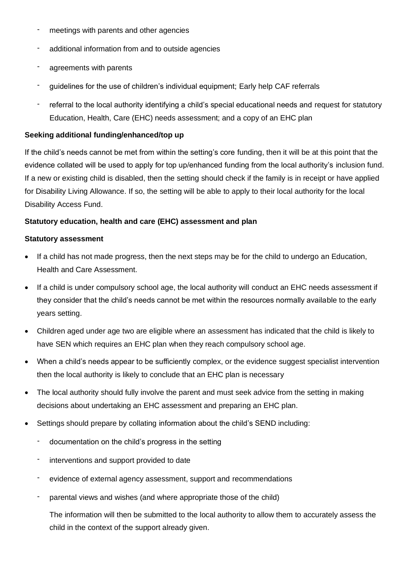- meetings with parents and other agencies
- additional information from and to outside agencies
- agreements with parents
- guidelines for the use of children's individual equipment; Early help CAF referrals
- referral to the local authority identifying a child's special educational needs and request for statutory Education, Health, Care (EHC) needs assessment; and a copy of an EHC plan

## **Seeking additional funding/enhanced/top up**

If the child's needs cannot be met from within the setting's core funding, then it will be at this point that the evidence collated will be used to apply for top up/enhanced funding from the local authority's inclusion fund. If a new or existing child is disabled, then the setting should check if the family is in receipt or have applied for Disability Living Allowance. If so, the setting will be able to apply to their local authority for the local Disability Access Fund.

## **Statutory education, health and care (EHC) assessment and plan**

## **Statutory assessment**

- If a child has not made progress, then the next steps may be for the child to undergo an Education, Health and Care Assessment.
- If a child is under compulsory school age, the local authority will conduct an EHC needs assessment if they consider that the child's needs cannot be met within the resources normally available to the early years setting.
- Children aged under age two are eligible where an assessment has indicated that the child is likely to have SEN which requires an EHC plan when they reach compulsory school age.
- When a child's needs appear to be sufficiently complex, or the evidence suggest specialist intervention then the local authority is likely to conclude that an EHC plan is necessary
- The local authority should fully involve the parent and must seek advice from the setting in making decisions about undertaking an EHC assessment and preparing an EHC plan.
- Settings should prepare by collating information about the child's SEND including:
	- documentation on the child's progress in the setting
	- interventions and support provided to date
	- evidence of external agency assessment, support and recommendations
	- parental views and wishes (and where appropriate those of the child)

The information will then be submitted to the local authority to allow them to accurately assess the child in the context of the support already given.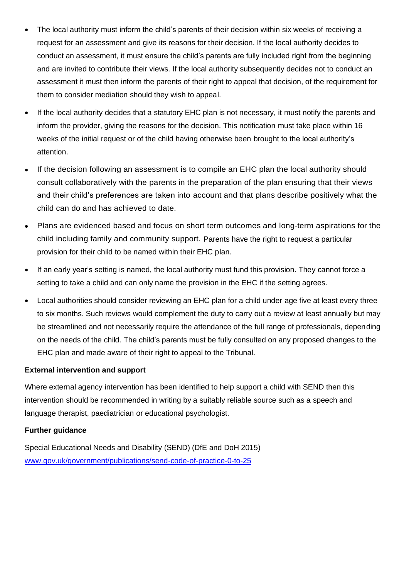- The local authority must inform the child's parents of their decision within six weeks of receiving a request for an assessment and give its reasons for their decision. If the local authority decides to conduct an assessment, it must ensure the child's parents are fully included right from the beginning and are invited to contribute their views. If the local authority subsequently decides not to conduct an assessment it must then inform the parents of their right to appeal that decision, of the requirement for them to consider mediation should they wish to appeal.
- If the local authority decides that a statutory EHC plan is not necessary, it must notify the parents and inform the provider, giving the reasons for the decision. This notification must take place within 16 weeks of the initial request or of the child having otherwise been brought to the local authority's attention.
- If the decision following an assessment is to compile an EHC plan the local authority should consult collaboratively with the parents in the preparation of the plan ensuring that their views and their child's preferences are taken into account and that plans describe positively what the child can do and has achieved to date.
- Plans are evidenced based and focus on short term outcomes and long-term aspirations for the child including family and community support. Parents have the right to request a particular provision for their child to be named within their EHC plan.
- If an early year's setting is named, the local authority must fund this provision. They cannot force a setting to take a child and can only name the provision in the EHC if the setting agrees.
- Local authorities should consider reviewing an EHC plan for a child under age five at least every three to six months. Such reviews would complement the duty to carry out a review at least annually but may be streamlined and not necessarily require the attendance of the full range of professionals, depending on the needs of the child. The child's parents must be fully consulted on any proposed changes to the EHC plan and made aware of their right to appeal to the Tribunal.

## **External intervention and support**

Where external agency intervention has been identified to help support a child with SEND then this intervention should be recommended in writing by a suitably reliable source such as a speech and language therapist, paediatrician or educational psychologist.

#### **Further guidance**

Special Educational Needs and Disability (SEND) (DfE and DoH 2015) [www.gov.uk/government/publications/send-code-of-practice-0-to-25](http://www.gov.uk/government/publications/send-code-of-practice-0-to-25)